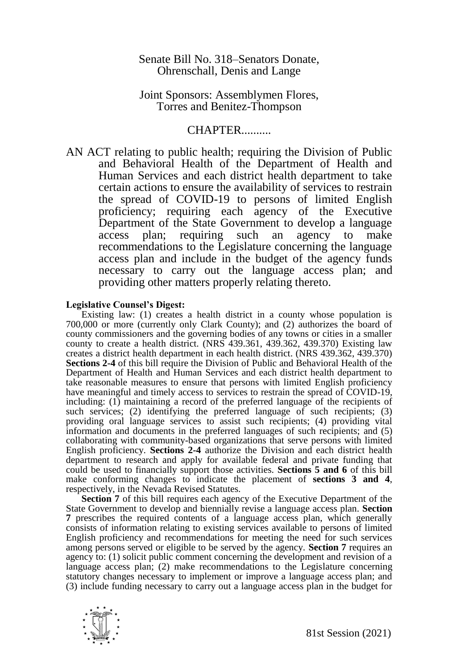## Senate Bill No. 318–Senators Donate, Ohrenschall, Denis and Lange

## Joint Sponsors: Assemblymen Flores, Torres and Benitez-Thompson

# CHAPTER..........

AN ACT relating to public health; requiring the Division of Public and Behavioral Health of the Department of Health and Human Services and each district health department to take certain actions to ensure the availability of services to restrain the spread of COVID-19 to persons of limited English proficiency; requiring each agency of the Executive Department of the State Government to develop a language access plan; requiring such an agency to make recommendations to the Legislature concerning the language access plan and include in the budget of the agency funds necessary to carry out the language access plan; and providing other matters properly relating thereto.

#### **Legislative Counsel's Digest:**

Existing law: (1) creates a health district in a county whose population is 700,000 or more (currently only Clark County); and (2) authorizes the board of county commissioners and the governing bodies of any towns or cities in a smaller county to create a health district. (NRS 439.361, 439.362, 439.370) Existing law creates a district health department in each health district. (NRS 439.362, 439.370) **Sections 2-4** of this bill require the Division of Public and Behavioral Health of the Department of Health and Human Services and each district health department to take reasonable measures to ensure that persons with limited English proficiency have meaningful and timely access to services to restrain the spread of COVID-19, including: (1) maintaining a record of the preferred language of the recipients of such services; (2) identifying the preferred language of such recipients; (3) providing oral language services to assist such recipients; (4) providing vital information and documents in the preferred languages of such recipients; and (5) collaborating with community-based organizations that serve persons with limited English proficiency. **Sections 2-4** authorize the Division and each district health department to research and apply for available federal and private funding that could be used to financially support those activities. **Sections 5 and 6** of this bill make conforming changes to indicate the placement of **sections 3 and 4**, respectively, in the Nevada Revised Statutes.

**Section 7** of this bill requires each agency of the Executive Department of the State Government to develop and biennially revise a language access plan. **Section 7** prescribes the required contents of a language access plan, which generally consists of information relating to existing services available to persons of limited English proficiency and recommendations for meeting the need for such services among persons served or eligible to be served by the agency. **Section 7** requires an agency to: (1) solicit public comment concerning the development and revision of a language access plan; (2) make recommendations to the Legislature concerning statutory changes necessary to implement or improve a language access plan; and (3) include funding necessary to carry out a language access plan in the budget for

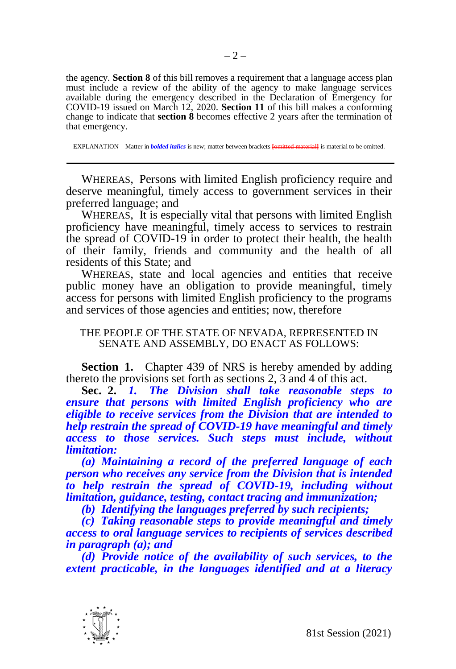the agency. **Section 8** of this bill removes a requirement that a language access plan must include a review of the ability of the agency to make language services available during the emergency described in the Declaration of Emergency for COVID-19 issued on March 12, 2020. **Section 11** of this bill makes a conforming change to indicate that **section 8** becomes effective 2 years after the termination of that emergency.

EXPLANATION – Matter in *bolded italics* is new; matter between brackets **[**omitted material**]** is material to be omitted.

WHEREAS, Persons with limited English proficiency require and deserve meaningful, timely access to government services in their preferred language; and

WHEREAS, It is especially vital that persons with limited English proficiency have meaningful, timely access to services to restrain the spread of COVID-19 in order to protect their health, the health of their family, friends and community and the health of all residents of this State; and

WHEREAS, state and local agencies and entities that receive public money have an obligation to provide meaningful, timely access for persons with limited English proficiency to the programs and services of those agencies and entities; now, therefore

### THE PEOPLE OF THE STATE OF NEVADA, REPRESENTED IN SENATE AND ASSEMBLY, DO ENACT AS FOLLOWS:

**Section 1.** Chapter 439 of NRS is hereby amended by adding thereto the provisions set forth as sections 2, 3 and 4 of this act.

**Sec. 2.** *1. The Division shall take reasonable steps to ensure that persons with limited English proficiency who are eligible to receive services from the Division that are intended to help restrain the spread of COVID-19 have meaningful and timely access to those services. Such steps must include, without limitation:*

*(a) Maintaining a record of the preferred language of each person who receives any service from the Division that is intended to help restrain the spread of COVID-19, including without limitation, guidance, testing, contact tracing and immunization;*

*(b) Identifying the languages preferred by such recipients;*

*(c) Taking reasonable steps to provide meaningful and timely access to oral language services to recipients of services described in paragraph (a); and*

*(d) Provide notice of the availability of such services, to the extent practicable, in the languages identified and at a literacy* 

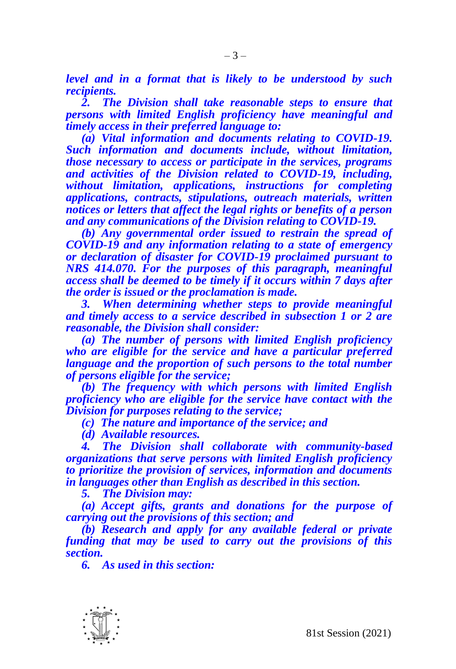*level and in a format that is likely to be understood by such recipients.*

*2. The Division shall take reasonable steps to ensure that persons with limited English proficiency have meaningful and timely access in their preferred language to:*

*(a) Vital information and documents relating to COVID-19. Such information and documents include, without limitation, those necessary to access or participate in the services, programs and activities of the Division related to COVID-19, including, without limitation, applications, instructions for completing applications, contracts, stipulations, outreach materials, written notices or letters that affect the legal rights or benefits of a person and any communications of the Division relating to COVID-19.*

*(b) Any governmental order issued to restrain the spread of COVID-19 and any information relating to a state of emergency or declaration of disaster for COVID-19 proclaimed pursuant to NRS 414.070. For the purposes of this paragraph, meaningful access shall be deemed to be timely if it occurs within 7 days after the order is issued or the proclamation is made.*

*3. When determining whether steps to provide meaningful and timely access to a service described in subsection 1 or 2 are reasonable, the Division shall consider:*

*(a) The number of persons with limited English proficiency who are eligible for the service and have a particular preferred language and the proportion of such persons to the total number of persons eligible for the service;*

*(b) The frequency with which persons with limited English proficiency who are eligible for the service have contact with the Division for purposes relating to the service;*

*(c) The nature and importance of the service; and*

*(d) Available resources.*

*4. The Division shall collaborate with community-based organizations that serve persons with limited English proficiency to prioritize the provision of services, information and documents in languages other than English as described in this section.*

*5. The Division may:*

*(a) Accept gifts, grants and donations for the purpose of carrying out the provisions of this section; and*

*(b) Research and apply for any available federal or private funding that may be used to carry out the provisions of this section.*

*6. As used in this section:*

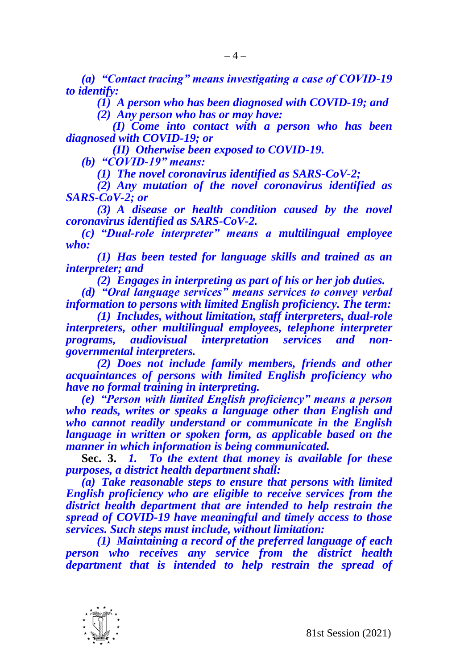*(a) "Contact tracing" means investigating a case of COVID-19 to identify:*

*(1) A person who has been diagnosed with COVID-19; and*

*(2) Any person who has or may have:*

*(I) Come into contact with a person who has been diagnosed with COVID-19; or* 

*(II) Otherwise been exposed to COVID-19.*

*(b) "COVID-19" means:*

*(1) The novel coronavirus identified as SARS-CoV-2;*

*(2) Any mutation of the novel coronavirus identified as SARS-CoV-2; or*

*(3) A disease or health condition caused by the novel coronavirus identified as SARS-CoV-2.*

*(c) "Dual-role interpreter" means a multilingual employee who:*

*(1) Has been tested for language skills and trained as an interpreter; and*

*(2) Engages in interpreting as part of his or her job duties.*

*(d) "Oral language services" means services to convey verbal information to persons with limited English proficiency. The term:*

*(1) Includes, without limitation, staff interpreters, dual-role interpreters, other multilingual employees, telephone interpreter programs, audiovisual interpretation services and nongovernmental interpreters.*

*(2) Does not include family members, friends and other acquaintances of persons with limited English proficiency who have no formal training in interpreting.*

*(e) "Person with limited English proficiency" means a person who reads, writes or speaks a language other than English and who cannot readily understand or communicate in the English language in written or spoken form, as applicable based on the manner in which information is being communicated.*

**Sec. 3.** *1. To the extent that money is available for these purposes, a district health department shall:*

*(a) Take reasonable steps to ensure that persons with limited English proficiency who are eligible to receive services from the district health department that are intended to help restrain the spread of COVID-19 have meaningful and timely access to those services. Such steps must include, without limitation:*

*(1) Maintaining a record of the preferred language of each person who receives any service from the district health department that is intended to help restrain the spread of* 

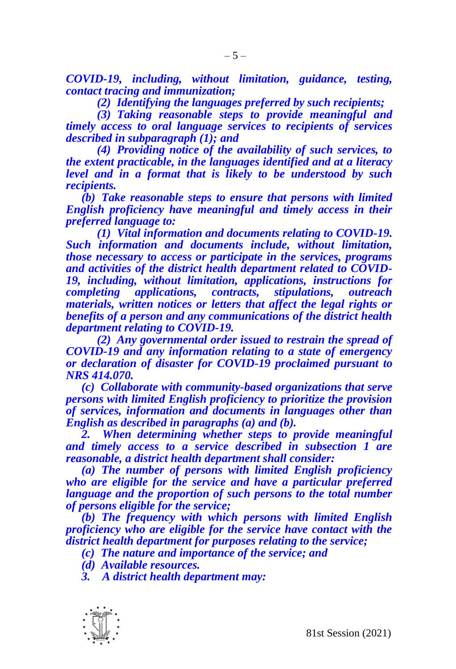*COVID-19, including, without limitation, guidance, testing, contact tracing and immunization;* 

*(2) Identifying the languages preferred by such recipients;* 

*(3) Taking reasonable steps to provide meaningful and timely access to oral language services to recipients of services described in subparagraph (1); and* 

*(4) Providing notice of the availability of such services, to the extent practicable, in the languages identified and at a literacy level and in a format that is likely to be understood by such recipients.* 

*(b) Take reasonable steps to ensure that persons with limited English proficiency have meaningful and timely access in their preferred language to:*

*(1) Vital information and documents relating to COVID-19. Such information and documents include, without limitation, those necessary to access or participate in the services, programs and activities of the district health department related to COVID-19, including, without limitation, applications, instructions for completing applications, contracts, stipulations, outreach materials, written notices or letters that affect the legal rights or benefits of a person and any communications of the district health department relating to COVID-19.*

*(2) Any governmental order issued to restrain the spread of COVID-19 and any information relating to a state of emergency or declaration of disaster for COVID-19 proclaimed pursuant to NRS 414.070.*

*(c) Collaborate with community-based organizations that serve persons with limited English proficiency to prioritize the provision of services, information and documents in languages other than English as described in paragraphs (a) and (b).*

*2. When determining whether steps to provide meaningful and timely access to a service described in subsection 1 are reasonable, a district health department shall consider:*

*(a) The number of persons with limited English proficiency who are eligible for the service and have a particular preferred language and the proportion of such persons to the total number of persons eligible for the service;*

*(b) The frequency with which persons with limited English proficiency who are eligible for the service have contact with the district health department for purposes relating to the service;*

*(c) The nature and importance of the service; and*

*(d) Available resources.*

*3. A district health department may:*

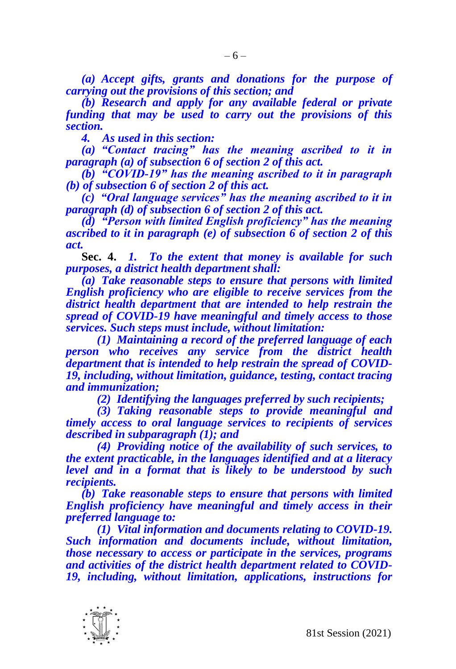*(a) Accept gifts, grants and donations for the purpose of carrying out the provisions of this section; and*

*(b) Research and apply for any available federal or private funding that may be used to carry out the provisions of this section.*

*4. As used in this section:*

*(a) "Contact tracing" has the meaning ascribed to it in paragraph (a) of subsection 6 of section 2 of this act.*

*(b) "COVID-19" has the meaning ascribed to it in paragraph (b) of subsection 6 of section 2 of this act.*

*(c) "Oral language services" has the meaning ascribed to it in paragraph (d) of subsection 6 of section 2 of this act.*

*(d) "Person with limited English proficiency" has the meaning ascribed to it in paragraph (e) of subsection 6 of section 2 of this act.*

**Sec. 4.** *1. To the extent that money is available for such purposes, a district health department shall:*

*(a) Take reasonable steps to ensure that persons with limited English proficiency who are eligible to receive services from the district health department that are intended to help restrain the spread of COVID-19 have meaningful and timely access to those services. Such steps must include, without limitation:*

*(1) Maintaining a record of the preferred language of each person who receives any service from the district health department that is intended to help restrain the spread of COVID-19, including, without limitation, guidance, testing, contact tracing and immunization;*

*(2) Identifying the languages preferred by such recipients;*

*(3) Taking reasonable steps to provide meaningful and timely access to oral language services to recipients of services described in subparagraph (1); and*

*(4) Providing notice of the availability of such services, to the extent practicable, in the languages identified and at a literacy level and in a format that is likely to be understood by such recipients.*

*(b) Take reasonable steps to ensure that persons with limited English proficiency have meaningful and timely access in their preferred language to:*

*(1) Vital information and documents relating to COVID-19. Such information and documents include, without limitation, those necessary to access or participate in the services, programs and activities of the district health department related to COVID-19, including, without limitation, applications, instructions for* 

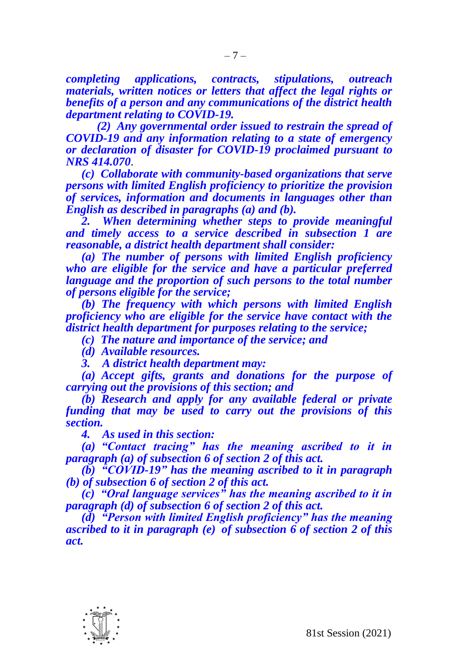*completing applications, contracts, stipulations, outreach materials, written notices or letters that affect the legal rights or benefits of a person and any communications of the district health department relating to COVID-19.*

*(2) Any governmental order issued to restrain the spread of COVID-19 and any information relating to a state of emergency or declaration of disaster for COVID-19 proclaimed pursuant to NRS 414.070*.

*(c) Collaborate with community-based organizations that serve persons with limited English proficiency to prioritize the provision of services, information and documents in languages other than English as described in paragraphs (a) and (b).*

*2. When determining whether steps to provide meaningful and timely access to a service described in subsection 1 are reasonable, a district health department shall consider:*

*(a) The number of persons with limited English proficiency who are eligible for the service and have a particular preferred language and the proportion of such persons to the total number of persons eligible for the service;*

*(b) The frequency with which persons with limited English proficiency who are eligible for the service have contact with the district health department for purposes relating to the service;*

*(c) The nature and importance of the service; and*

*(d) Available resources.*

*3. A district health department may:*

*(a) Accept gifts, grants and donations for the purpose of carrying out the provisions of this section; and*

*(b) Research and apply for any available federal or private funding that may be used to carry out the provisions of this section.*

*4. As used in this section:*

*(a) "Contact tracing" has the meaning ascribed to it in paragraph (a) of subsection 6 of section 2 of this act.*

*(b) "COVID-19" has the meaning ascribed to it in paragraph (b) of subsection 6 of section 2 of this act.*

*(c) "Oral language services" has the meaning ascribed to it in paragraph (d) of subsection 6 of section 2 of this act.*

*(d) "Person with limited English proficiency" has the meaning ascribed to it in paragraph (e) of subsection 6 of section 2 of this act.*

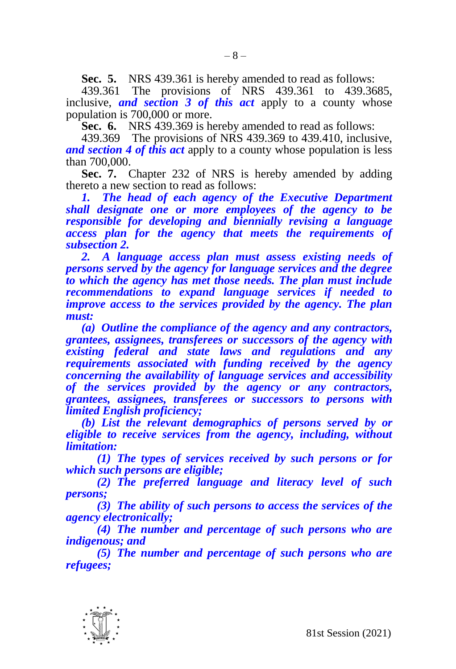**Sec. 5.** NRS 439.361 is hereby amended to read as follows:

439.361 The provisions of NRS 439.361 to 439.3685, inclusive, *and section 3 of this act* apply to a county whose population is 700,000 or more.

**Sec. 6.** NRS 439.369 is hereby amended to read as follows:

439.369 The provisions of NRS 439.369 to 439.410, inclusive, *and section 4 of this act* apply to a county whose population is less than 700,000.

**Sec. 7.** Chapter 232 of NRS is hereby amended by adding thereto a new section to read as follows:

*1. The head of each agency of the Executive Department shall designate one or more employees of the agency to be responsible for developing and biennially revising a language access plan for the agency that meets the requirements of subsection 2.*

2. A language access plan must assess existing needs of *persons served by the agency for language services and the degree to which the agency has met those needs. The plan must include recommendations to expand language services if needed to improve access to the services provided by the agency. The plan must:*

*(a) Outline the compliance of the agency and any contractors, grantees, assignees, transferees or successors of the agency with existing federal and state laws and regulations and any requirements associated with funding received by the agency concerning the availability of language services and accessibility of the services provided by the agency or any contractors, grantees, assignees, transferees or successors to persons with limited English proficiency;*

*(b) List the relevant demographics of persons served by or eligible to receive services from the agency, including, without limitation:*

*(1) The types of services received by such persons or for which such persons are eligible;*

*(2) The preferred language and literacy level of such persons;*

*(3) The ability of such persons to access the services of the agency electronically;* 

*(4) The number and percentage of such persons who are indigenous; and*

*(5) The number and percentage of such persons who are refugees;*

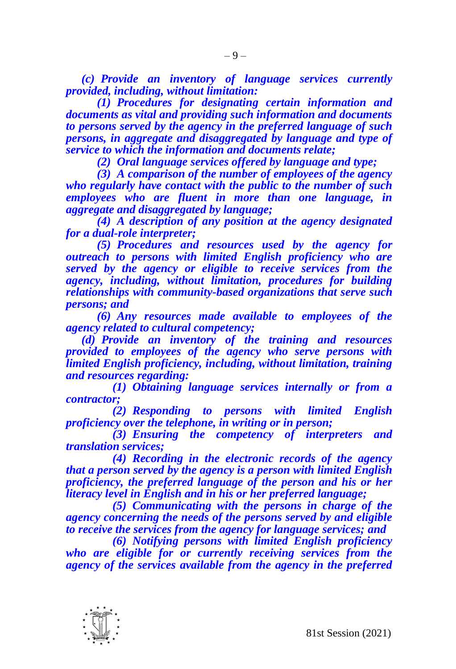*(c) Provide an inventory of language services currently provided, including, without limitation:*

*(1) Procedures for designating certain information and documents as vital and providing such information and documents to persons served by the agency in the preferred language of such persons, in aggregate and disaggregated by language and type of service to which the information and documents relate;*

*(2) Oral language services offered by language and type;*

*(3) A comparison of the number of employees of the agency who regularly have contact with the public to the number of such employees who are fluent in more than one language, in aggregate and disaggregated by language;*

*(4) A description of any position at the agency designated for a dual-role interpreter;*

*(5) Procedures and resources used by the agency for outreach to persons with limited English proficiency who are served by the agency or eligible to receive services from the agency, including, without limitation, procedures for building relationships with community-based organizations that serve such persons; and*

*(6) Any resources made available to employees of the agency related to cultural competency;*

*(d) Provide an inventory of the training and resources provided to employees of the agency who serve persons with limited English proficiency, including, without limitation, training and resources regarding:*

*(1) Obtaining language services internally or from a contractor;*

*(2) Responding to persons with limited English proficiency over the telephone, in writing or in person;*

*(3) Ensuring the competency of interpreters and translation services;*

*(4) Recording in the electronic records of the agency that a person served by the agency is a person with limited English proficiency, the preferred language of the person and his or her literacy level in English and in his or her preferred language;*

*(5) Communicating with the persons in charge of the agency concerning the needs of the persons served by and eligible to receive the services from the agency for language services; and*

*(6) Notifying persons with limited English proficiency who are eligible for or currently receiving services from the agency of the services available from the agency in the preferred* 

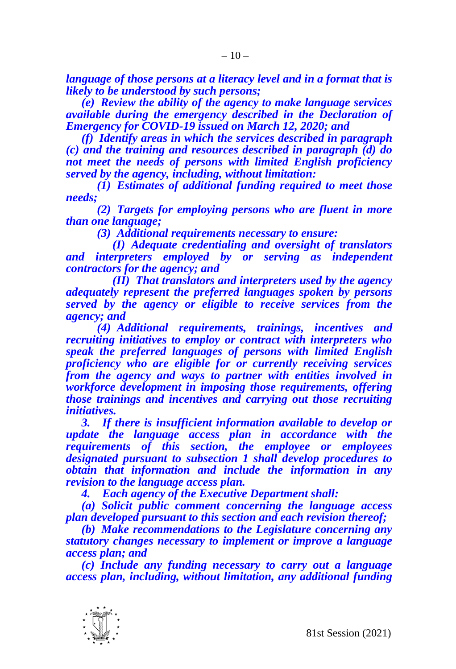*language of those persons at a literacy level and in a format that is likely to be understood by such persons;*

*(e) Review the ability of the agency to make language services available during the emergency described in the Declaration of Emergency for COVID-19 issued on March 12, 2020; and*

*(f) Identify areas in which the services described in paragraph (c) and the training and resources described in paragraph (d) do not meet the needs of persons with limited English proficiency served by the agency, including, without limitation:*

*(1) Estimates of additional funding required to meet those needs;*

*(2) Targets for employing persons who are fluent in more than one language;*

*(3) Additional requirements necessary to ensure:*

*(I) Adequate credentialing and oversight of translators and interpreters employed by or serving as independent contractors for the agency; and* 

*(II) That translators and interpreters used by the agency adequately represent the preferred languages spoken by persons served by the agency or eligible to receive services from the agency; and*

*(4) Additional requirements, trainings, incentives and recruiting initiatives to employ or contract with interpreters who speak the preferred languages of persons with limited English proficiency who are eligible for or currently receiving services from the agency and ways to partner with entities involved in workforce development in imposing those requirements, offering those trainings and incentives and carrying out those recruiting initiatives.*

*3. If there is insufficient information available to develop or update the language access plan in accordance with the requirements of this section, the employee or employees designated pursuant to subsection 1 shall develop procedures to obtain that information and include the information in any revision to the language access plan.* 

*4. Each agency of the Executive Department shall:*

*(a) Solicit public comment concerning the language access plan developed pursuant to this section and each revision thereof;*

*(b) Make recommendations to the Legislature concerning any statutory changes necessary to implement or improve a language access plan; and*

*(c) Include any funding necessary to carry out a language access plan, including, without limitation, any additional funding* 

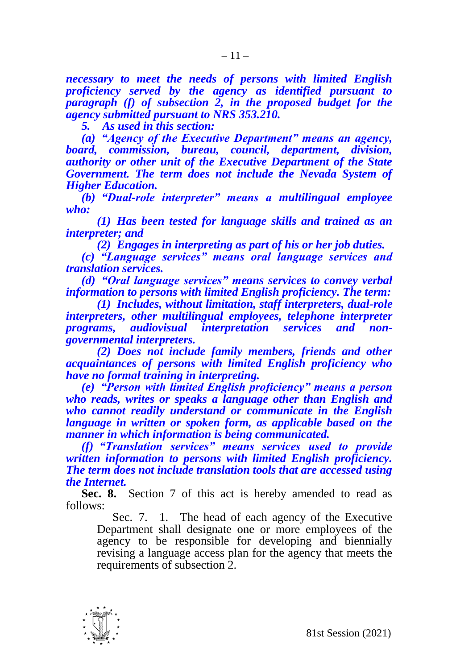*necessary to meet the needs of persons with limited English proficiency served by the agency as identified pursuant to paragraph (f) of subsection 2, in the proposed budget for the agency submitted pursuant to NRS 353.210.*

*5. As used in this section:*

*(a) "Agency of the Executive Department" means an agency, board, commission, bureau, council, department, division, authority or other unit of the Executive Department of the State Government. The term does not include the Nevada System of Higher Education.*

*(b) "Dual-role interpreter" means a multilingual employee who:*

*(1) Has been tested for language skills and trained as an interpreter; and*

*(2) Engages in interpreting as part of his or her job duties.*

*(c) "Language services" means oral language services and translation services.*

*(d) "Oral language services" means services to convey verbal information to persons with limited English proficiency. The term:*

*(1) Includes, without limitation, staff interpreters, dual-role interpreters, other multilingual employees, telephone interpreter programs, audiovisual interpretation services and nongovernmental interpreters.*

*(2) Does not include family members, friends and other acquaintances of persons with limited English proficiency who have no formal training in interpreting.*

*(e) "Person with limited English proficiency" means a person who reads, writes or speaks a language other than English and who cannot readily understand or communicate in the English language in written or spoken form, as applicable based on the manner in which information is being communicated.*

*(f) "Translation services" means services used to provide written information to persons with limited English proficiency. The term does not include translation tools that are accessed using the Internet.*

**Sec. 8.** Section 7 of this act is hereby amended to read as follows:

Sec. 7. 1. The head of each agency of the Executive Department shall designate one or more employees of the agency to be responsible for developing and biennially revising a language access plan for the agency that meets the requirements of subsection 2.

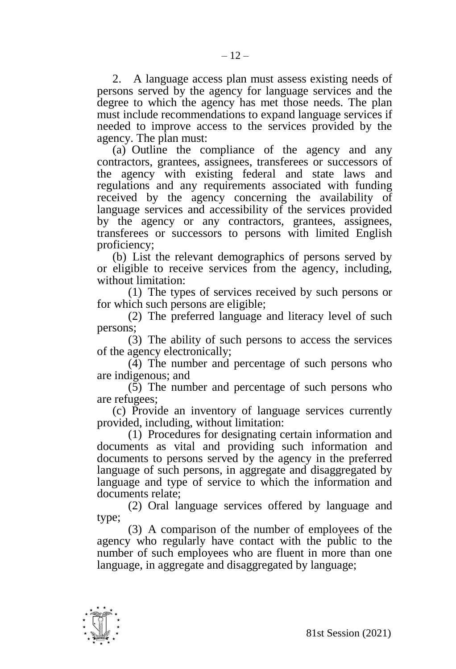2. A language access plan must assess existing needs of persons served by the agency for language services and the degree to which the agency has met those needs. The plan must include recommendations to expand language services if needed to improve access to the services provided by the agency. The plan must:

(a) Outline the compliance of the agency and any contractors, grantees, assignees, transferees or successors of the agency with existing federal and state laws and regulations and any requirements associated with funding received by the agency concerning the availability of language services and accessibility of the services provided by the agency or any contractors, grantees, assignees, transferees or successors to persons with limited English proficiency;

(b) List the relevant demographics of persons served by or eligible to receive services from the agency, including, without limitation:

(1) The types of services received by such persons or for which such persons are eligible;

(2) The preferred language and literacy level of such persons;

(3) The ability of such persons to access the services of the agency electronically;

 $(\tilde{4})$  The number and percentage of such persons who are indigenous; and

(5) The number and percentage of such persons who are refugees;

(c) Provide an inventory of language services currently provided, including, without limitation:

(1) Procedures for designating certain information and documents as vital and providing such information and documents to persons served by the agency in the preferred language of such persons, in aggregate and disaggregated by language and type of service to which the information and documents relate;

(2) Oral language services offered by language and type;

(3) A comparison of the number of employees of the agency who regularly have contact with the public to the number of such employees who are fluent in more than one language, in aggregate and disaggregated by language;

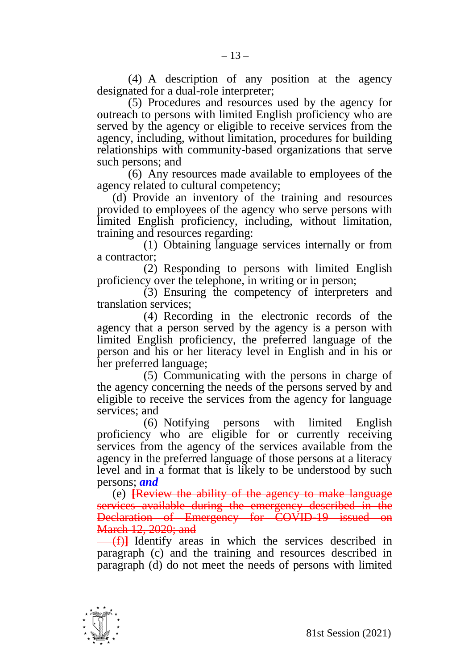(4) A description of any position at the agency designated for a dual-role interpreter;

(5) Procedures and resources used by the agency for outreach to persons with limited English proficiency who are served by the agency or eligible to receive services from the agency, including, without limitation, procedures for building relationships with community-based organizations that serve such persons; and

(6) Any resources made available to employees of the agency related to cultural competency;

(d) Provide an inventory of the training and resources provided to employees of the agency who serve persons with limited English proficiency, including, without limitation, training and resources regarding:

(1) Obtaining language services internally or from a contractor;

(2) Responding to persons with limited English proficiency over the telephone, in writing or in person;

(3) Ensuring the competency of interpreters and translation services;

(4) Recording in the electronic records of the agency that a person served by the agency is a person with limited English proficiency, the preferred language of the person and his or her literacy level in English and in his or her preferred language;

(5) Communicating with the persons in charge of the agency concerning the needs of the persons served by and eligible to receive the services from the agency for language services; and

(6) Notifying persons with limited English proficiency who are eligible for or currently receiving services from the agency of the services available from the agency in the preferred language of those persons at a literacy level and in a format that is likely to be understood by such persons; *and*

(e) **[**Review the ability of the agency to make language services available during the emergency described in the Declaration of Emergency for COVID-19 issued on **March 12, 2020; and** 

(f)**]** Identify areas in which the services described in paragraph (c) and the training and resources described in paragraph (d) do not meet the needs of persons with limited

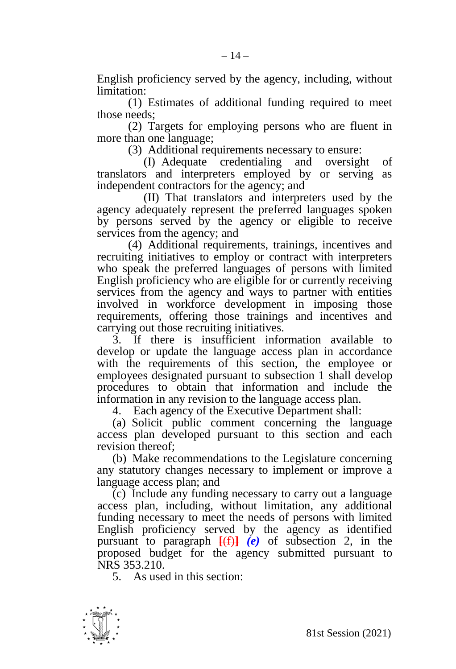English proficiency served by the agency, including, without limitation:

(1) Estimates of additional funding required to meet those needs;

(2) Targets for employing persons who are fluent in more than one language;

(3) Additional requirements necessary to ensure:

(I) Adequate credentialing and oversight of translators and interpreters employed by or serving as independent contractors for the agency; and

(II) That translators and interpreters used by the agency adequately represent the preferred languages spoken by persons served by the agency or eligible to receive services from the agency; and

(4) Additional requirements, trainings, incentives and recruiting initiatives to employ or contract with interpreters who speak the preferred languages of persons with limited English proficiency who are eligible for or currently receiving services from the agency and ways to partner with entities involved in workforce development in imposing those requirements, offering those trainings and incentives and carrying out those recruiting initiatives.

3. If there is insufficient information available to develop or update the language access plan in accordance with the requirements of this section, the employee or employees designated pursuant to subsection 1 shall develop procedures to obtain that information and include the information in any revision to the language access plan.

4. Each agency of the Executive Department shall:

(a) Solicit public comment concerning the language access plan developed pursuant to this section and each revision thereof;

(b) Make recommendations to the Legislature concerning any statutory changes necessary to implement or improve a language access plan; and

(c) Include any funding necessary to carry out a language access plan, including, without limitation, any additional funding necessary to meet the needs of persons with limited English proficiency served by the agency as identified pursuant to paragraph **[**(f)**]** *(e)* of subsection 2, in the proposed budget for the agency submitted pursuant to NRS 353.210.

5. As used in this section:

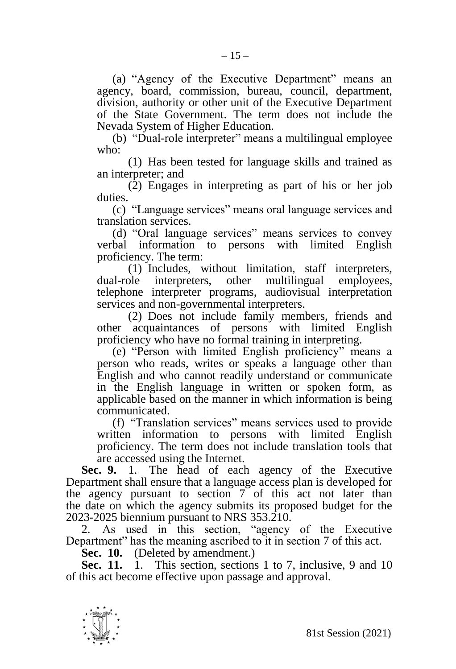(a) "Agency of the Executive Department" means an agency, board, commission, bureau, council, department, division, authority or other unit of the Executive Department of the State Government. The term does not include the Nevada System of Higher Education.

(b) "Dual-role interpreter" means a multilingual employee who:

(1) Has been tested for language skills and trained as an interpreter; and

(2) Engages in interpreting as part of his or her job duties.

(c) "Language services" means oral language services and translation services.

(d) "Oral language services" means services to convey verbal information to persons with limited English proficiency. The term:

(1) Includes, without limitation, staff interpreters, dual-role interpreters, other multilingual employees, telephone interpreter programs, audiovisual interpretation services and non-governmental interpreters.

(2) Does not include family members, friends and other acquaintances of persons with limited English proficiency who have no formal training in interpreting.

(e) "Person with limited English proficiency" means a person who reads, writes or speaks a language other than English and who cannot readily understand or communicate in the English language in written or spoken form, as applicable based on the manner in which information is being communicated.

(f) "Translation services" means services used to provide written information to persons with limited English proficiency. The term does not include translation tools that are accessed using the Internet.

**Sec. 9.** 1. The head of each agency of the Executive Department shall ensure that a language access plan is developed for the agency pursuant to section 7 of this act not later than the date on which the agency submits its proposed budget for the 2023-2025 biennium pursuant to NRS 353.210.

2. As used in this section, "agency of the Executive Department" has the meaning ascribed to it in section 7 of this act.

**Sec. 10.** (Deleted by amendment.)

**Sec. 11.** 1. This section, sections 1 to 7, inclusive, 9 and 10 of this act become effective upon passage and approval.